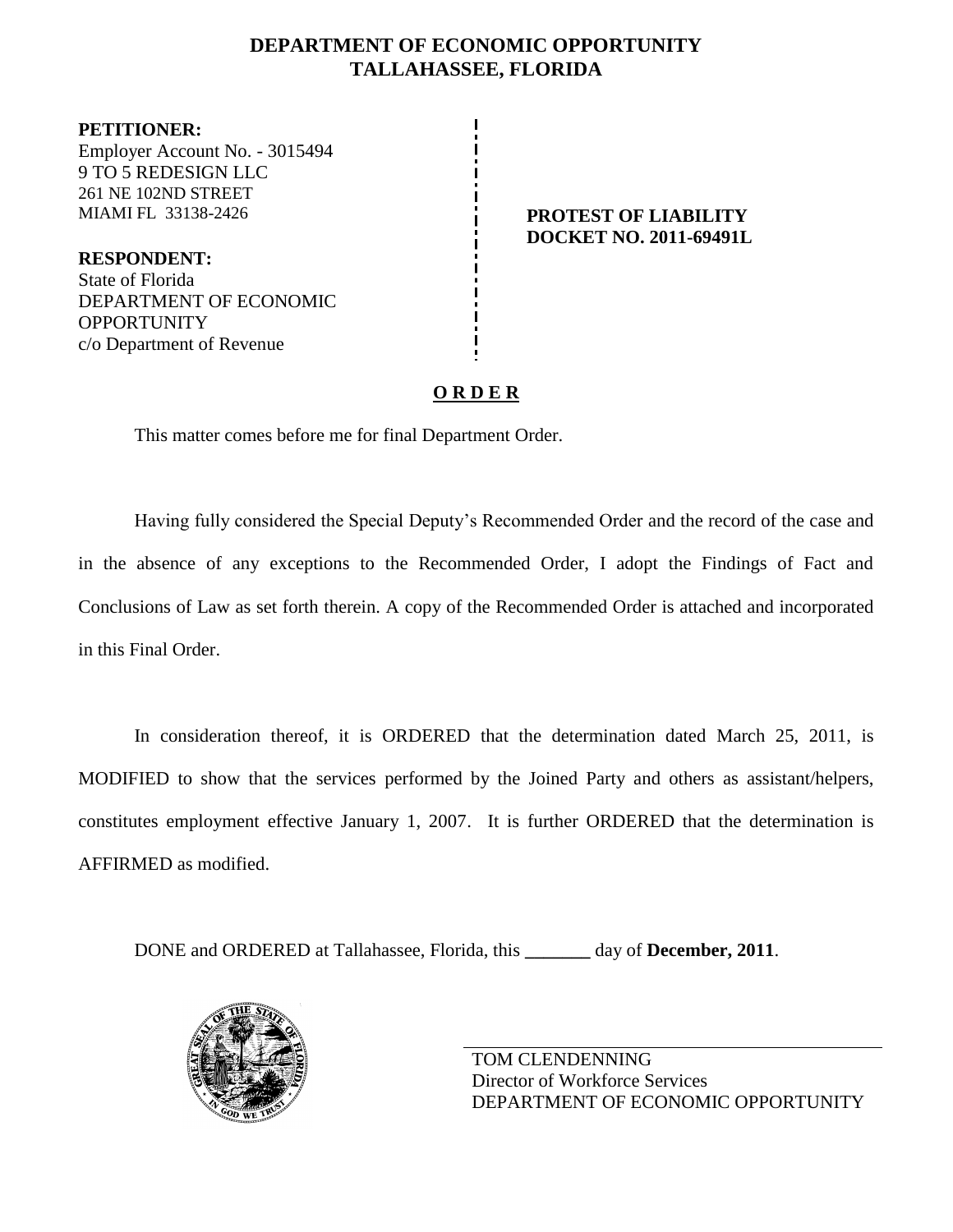# **DEPARTMENT OF ECONOMIC OPPORTUNITY TALLAHASSEE, FLORIDA**

**PETITIONER:** Employer Account No. - 3015494 9 TO 5 REDESIGN LLC 261 NE 102ND STREET MIAMI FL 33138-2426 **PROTEST OF LIABILITY**

**RESPONDENT:** State of Florida DEPARTMENT OF ECONOMIC OPPORTUNITY c/o Department of Revenue

# **DOCKET NO. 2011-69491L**

# **O R D E R**

This matter comes before me for final Department Order.

Having fully considered the Special Deputy's Recommended Order and the record of the case and in the absence of any exceptions to the Recommended Order, I adopt the Findings of Fact and Conclusions of Law as set forth therein. A copy of the Recommended Order is attached and incorporated in this Final Order.

In consideration thereof, it is ORDERED that the determination dated March 25, 2011, is MODIFIED to show that the services performed by the Joined Party and others as assistant/helpers, constitutes employment effective January 1, 2007. It is further ORDERED that the determination is AFFIRMED as modified.

DONE and ORDERED at Tallahassee, Florida, this **\_\_\_\_\_\_\_** day of **December, 2011**.



TOM CLENDENNING Director of Workforce Services DEPARTMENT OF ECONOMIC OPPORTUNITY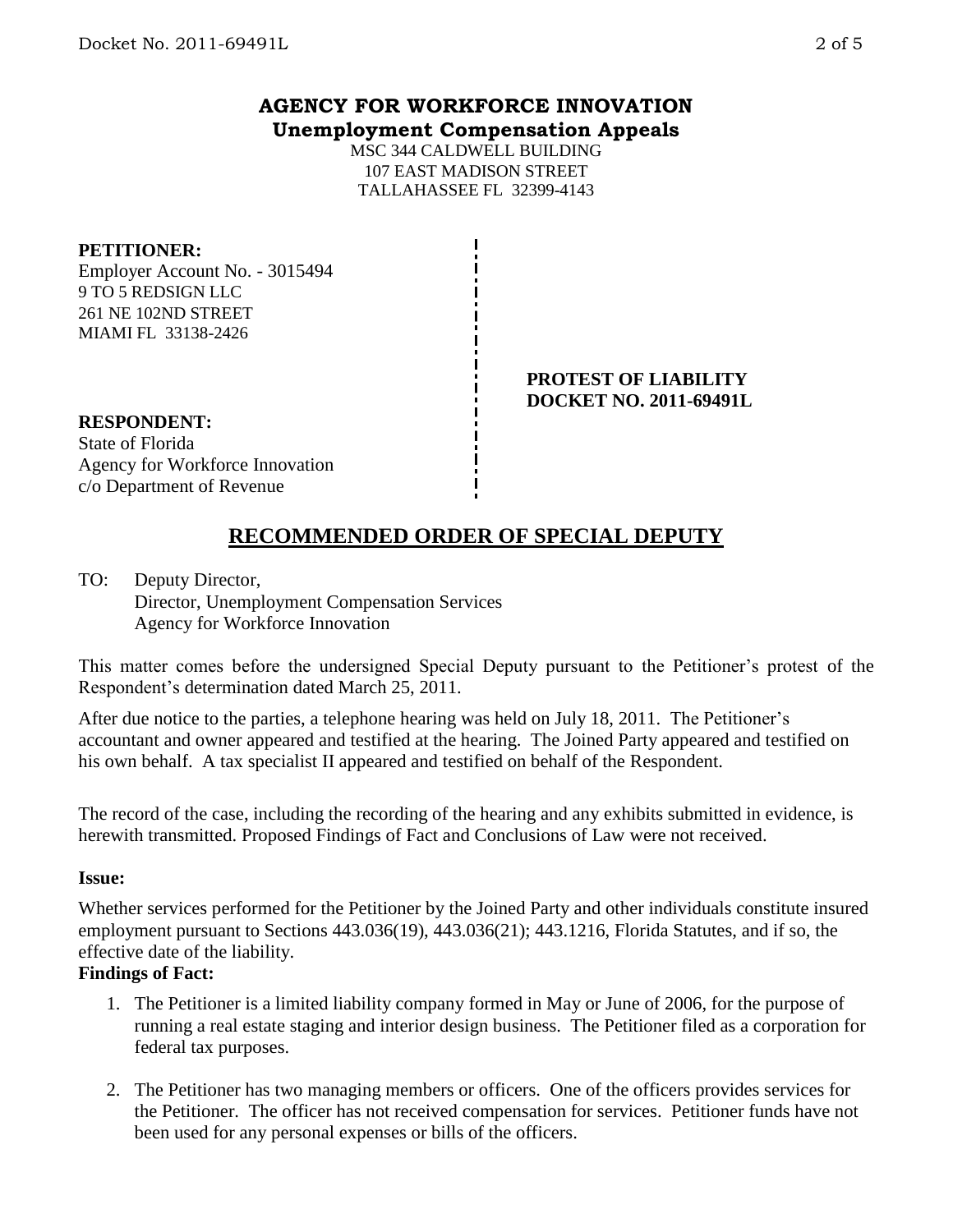# **AGENCY FOR WORKFORCE INNOVATION Unemployment Compensation Appeals**

MSC 344 CALDWELL BUILDING 107 EAST MADISON STREET TALLAHASSEE FL 32399-4143

## **PETITIONER:**

Employer Account No. - 3015494 9 TO 5 REDSIGN LLC 261 NE 102ND STREET MIAMI FL 33138-2426

### **PROTEST OF LIABILITY DOCKET NO. 2011-69491L**

#### **RESPONDENT:** State of Florida

Agency for Workforce Innovation c/o Department of Revenue

# **RECOMMENDED ORDER OF SPECIAL DEPUTY**

TO: Deputy Director, Director, Unemployment Compensation Services Agency for Workforce Innovation

This matter comes before the undersigned Special Deputy pursuant to the Petitioner's protest of the Respondent's determination dated March 25, 2011.

After due notice to the parties, a telephone hearing was held on July 18, 2011. The Petitioner's accountant and owner appeared and testified at the hearing. The Joined Party appeared and testified on his own behalf. A tax specialist II appeared and testified on behalf of the Respondent.

The record of the case, including the recording of the hearing and any exhibits submitted in evidence, is herewith transmitted. Proposed Findings of Fact and Conclusions of Law were not received.

# **Issue:**

Whether services performed for the Petitioner by the Joined Party and other individuals constitute insured employment pursuant to Sections 443.036(19), 443.036(21); 443.1216, Florida Statutes, and if so, the effective date of the liability.

# **Findings of Fact:**

- 1. The Petitioner is a limited liability company formed in May or June of 2006, for the purpose of running a real estate staging and interior design business. The Petitioner filed as a corporation for federal tax purposes.
- 2. The Petitioner has two managing members or officers. One of the officers provides services for the Petitioner. The officer has not received compensation for services. Petitioner funds have not been used for any personal expenses or bills of the officers.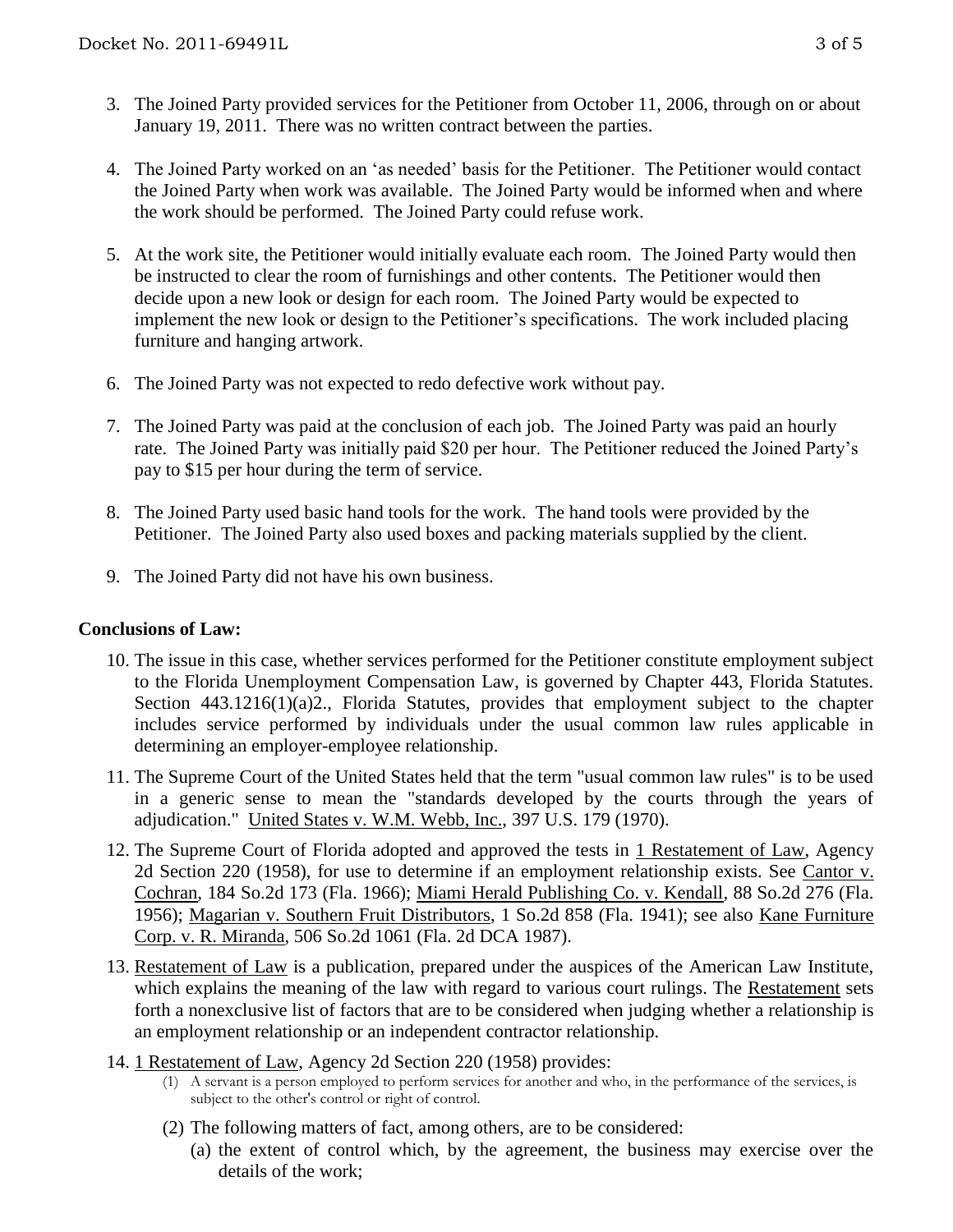- 3. The Joined Party provided services for the Petitioner from October 11, 2006, through on or about January 19, 2011. There was no written contract between the parties.
- 4. The Joined Party worked on an 'as needed' basis for the Petitioner. The Petitioner would contact the Joined Party when work was available. The Joined Party would be informed when and where the work should be performed. The Joined Party could refuse work.
- 5. At the work site, the Petitioner would initially evaluate each room. The Joined Party would then be instructed to clear the room of furnishings and other contents. The Petitioner would then decide upon a new look or design for each room. The Joined Party would be expected to implement the new look or design to the Petitioner's specifications. The work included placing furniture and hanging artwork.
- 6. The Joined Party was not expected to redo defective work without pay.
- 7. The Joined Party was paid at the conclusion of each job. The Joined Party was paid an hourly rate. The Joined Party was initially paid \$20 per hour. The Petitioner reduced the Joined Party's pay to \$15 per hour during the term of service.
- 8. The Joined Party used basic hand tools for the work. The hand tools were provided by the Petitioner. The Joined Party also used boxes and packing materials supplied by the client.
- 9. The Joined Party did not have his own business.

# **Conclusions of Law:**

- 10. The issue in this case, whether services performed for the Petitioner constitute employment subject to the Florida Unemployment Compensation Law, is governed by Chapter 443, Florida Statutes. Section 443.1216(1)(a)2., Florida Statutes, provides that employment subject to the chapter includes service performed by individuals under the usual common law rules applicable in determining an employer-employee relationship.
- 11. The Supreme Court of the United States held that the term "usual common law rules" is to be used in a generic sense to mean the "standards developed by the courts through the years of adjudication." United States v. W.M. Webb, Inc., 397 U.S. 179 (1970).
- 12. The Supreme Court of Florida adopted and approved the tests in 1 Restatement of Law, Agency 2d Section 220 (1958), for use to determine if an employment relationship exists. See Cantor v. Cochran, 184 So.2d 173 (Fla. 1966); Miami Herald Publishing Co. v. Kendall, 88 So.2d 276 (Fla. 1956); Magarian v. Southern Fruit Distributors, 1 So.2d 858 (Fla. 1941); see also Kane Furniture Corp. v. R. Miranda, 506 So.2d 1061 (Fla. 2d DCA 1987).
- 13. Restatement of Law is a publication, prepared under the auspices of the American Law Institute, which explains the meaning of the law with regard to various court rulings. The Restatement sets forth a nonexclusive list of factors that are to be considered when judging whether a relationship is an employment relationship or an independent contractor relationship.
- 14. 1 Restatement of Law, Agency 2d Section 220 (1958) provides:
	- (1) A servant is a person employed to perform services for another and who, in the performance of the services, is subject to the other's control or right of control.
	- (2) The following matters of fact, among others, are to be considered:
		- (a) the extent of control which, by the agreement, the business may exercise over the details of the work;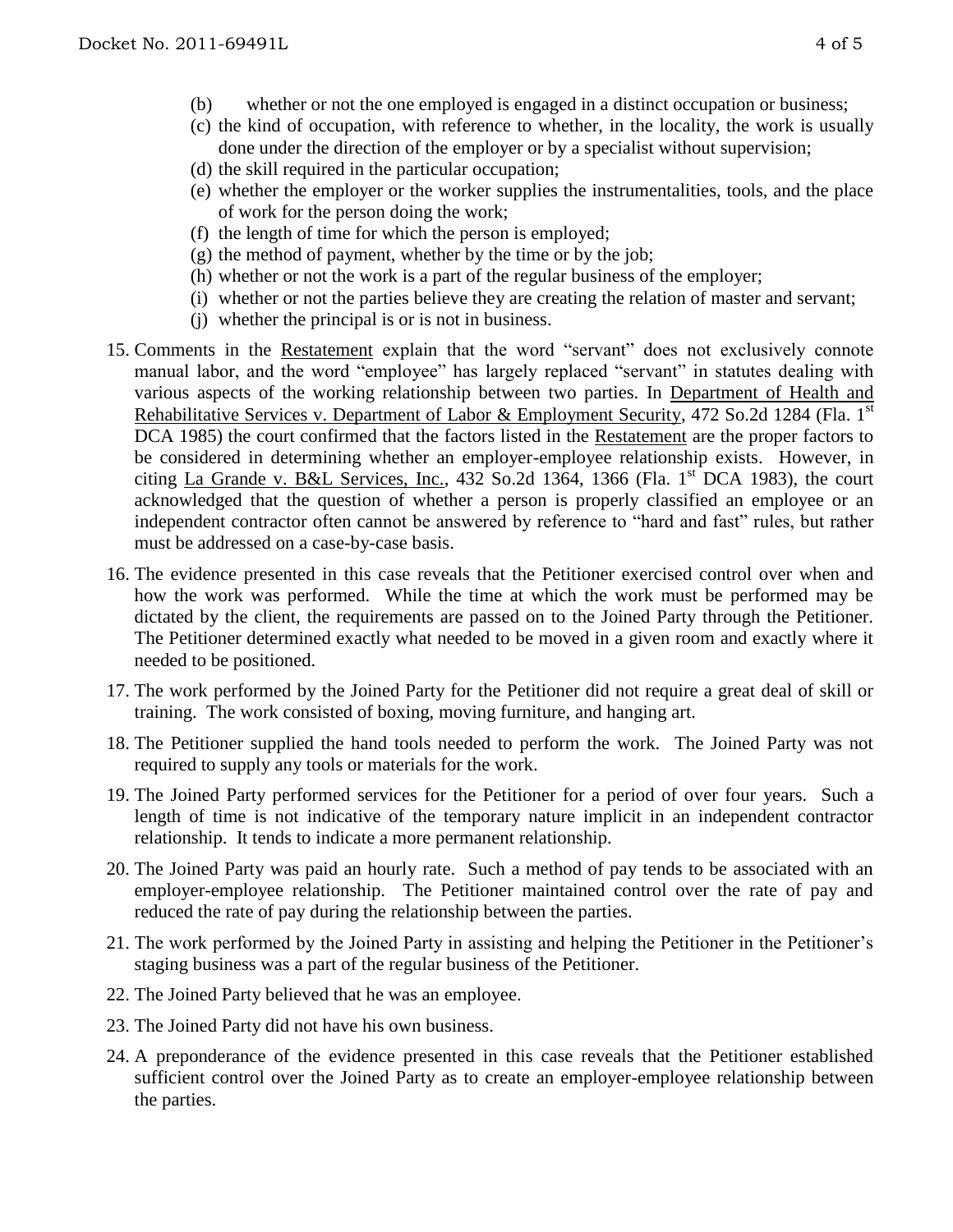- (b) whether or not the one employed is engaged in a distinct occupation or business;
- (c) the kind of occupation, with reference to whether, in the locality, the work is usually done under the direction of the employer or by a specialist without supervision;
- (d) the skill required in the particular occupation;
- (e) whether the employer or the worker supplies the instrumentalities, tools, and the place of work for the person doing the work;
- (f) the length of time for which the person is employed;
- (g) the method of payment, whether by the time or by the job;
- (h) whether or not the work is a part of the regular business of the employer;
- (i) whether or not the parties believe they are creating the relation of master and servant;
- (j) whether the principal is or is not in business.
- 15. Comments in the Restatement explain that the word "servant" does not exclusively connote manual labor, and the word "employee" has largely replaced "servant" in statutes dealing with various aspects of the working relationship between two parties. In Department of Health and Rehabilitative Services v. Department of Labor & Employment Security, 472 So.2d 1284 (Fla. 1<sup>st</sup> DCA 1985) the court confirmed that the factors listed in the Restatement are the proper factors to be considered in determining whether an employer-employee relationship exists. However, in citing La Grande v. B&L Services, Inc., 432 So.2d 1364, 1366 (Fla.  $1<sup>st</sup> DCA$  1983), the court acknowledged that the question of whether a person is properly classified an employee or an independent contractor often cannot be answered by reference to "hard and fast" rules, but rather must be addressed on a case-by-case basis.
- 16. The evidence presented in this case reveals that the Petitioner exercised control over when and how the work was performed. While the time at which the work must be performed may be dictated by the client, the requirements are passed on to the Joined Party through the Petitioner. The Petitioner determined exactly what needed to be moved in a given room and exactly where it needed to be positioned.
- 17. The work performed by the Joined Party for the Petitioner did not require a great deal of skill or training. The work consisted of boxing, moving furniture, and hanging art.
- 18. The Petitioner supplied the hand tools needed to perform the work. The Joined Party was not required to supply any tools or materials for the work.
- 19. The Joined Party performed services for the Petitioner for a period of over four years. Such a length of time is not indicative of the temporary nature implicit in an independent contractor relationship. It tends to indicate a more permanent relationship.
- 20. The Joined Party was paid an hourly rate. Such a method of pay tends to be associated with an employer-employee relationship. The Petitioner maintained control over the rate of pay and reduced the rate of pay during the relationship between the parties.
- 21. The work performed by the Joined Party in assisting and helping the Petitioner in the Petitioner's staging business was a part of the regular business of the Petitioner.
- 22. The Joined Party believed that he was an employee.
- 23. The Joined Party did not have his own business.
- 24. A preponderance of the evidence presented in this case reveals that the Petitioner established sufficient control over the Joined Party as to create an employer-employee relationship between the parties.